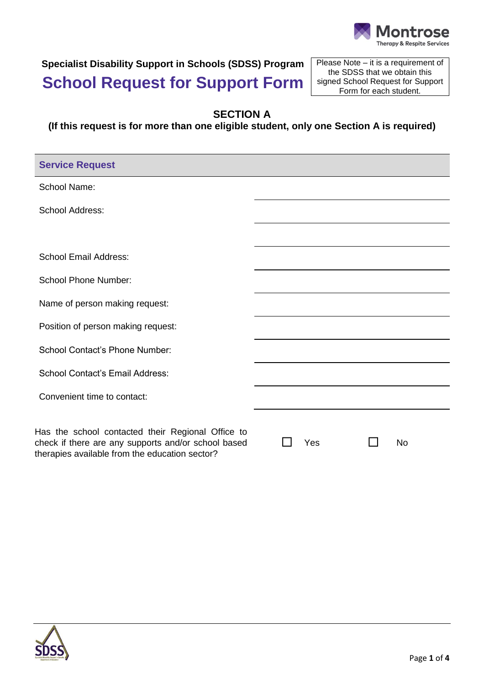

# **Specialist Disability Support in Schools (SDSS) Program School Request for Support Form**

Please Note – it is a requirement of the SDSS that we obtain this signed School Request for Support Form for each student.

## **SECTION A**

### **(If this request is for more than one eligible student, only one Section A is required)**

| <b>Service Request</b>                                                                                                                                     |     |           |
|------------------------------------------------------------------------------------------------------------------------------------------------------------|-----|-----------|
| School Name:                                                                                                                                               |     |           |
| School Address:                                                                                                                                            |     |           |
|                                                                                                                                                            |     |           |
| <b>School Email Address:</b>                                                                                                                               |     |           |
| <b>School Phone Number:</b>                                                                                                                                |     |           |
| Name of person making request:                                                                                                                             |     |           |
| Position of person making request:                                                                                                                         |     |           |
| <b>School Contact's Phone Number:</b>                                                                                                                      |     |           |
| <b>School Contact's Email Address:</b>                                                                                                                     |     |           |
| Convenient time to contact:                                                                                                                                |     |           |
| Has the school contacted their Regional Office to<br>check if there are any supports and/or school based<br>therapies available from the education sector? | Yes | <b>No</b> |

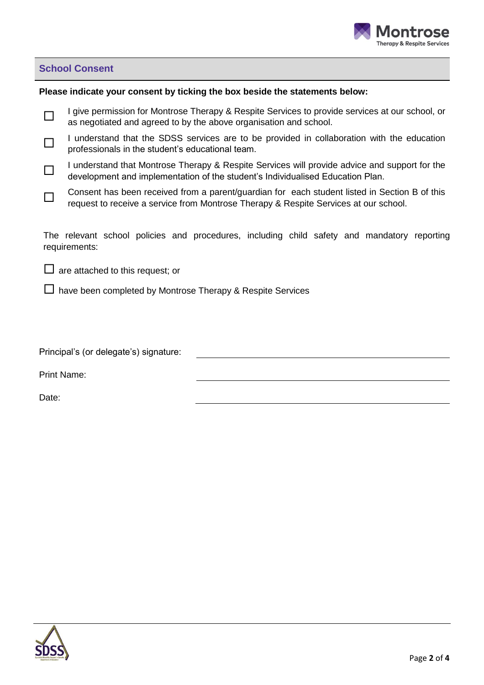

#### **School Consent**

#### **Please indicate your consent by ticking the box beside the statements below:**

- П I give permission for Montrose Therapy & Respite Services to provide services at our school, or as negotiated and agreed to by the above organisation and school.
- П I understand that the SDSS services are to be provided in collaboration with the education professionals in the student's educational team.
- П I understand that Montrose Therapy & Respite Services will provide advice and support for the development and implementation of the student's Individualised Education Plan.
- П Consent has been received from a parent/guardian for each student listed in Section B of this request to receive a service from Montrose Therapy & Respite Services at our school.

The relevant school policies and procedures, including child safety and mandatory reporting requirements:

 $\Box$  are attached to this request; or

 $\Box$  have been completed by Montrose Therapy & Respite Services

Principal's (or delegate's) signature:

Print Name:

Date:

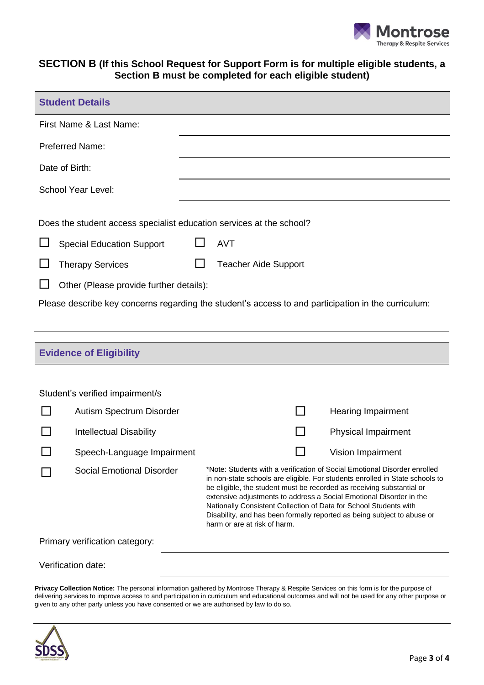

#### **SECTION B (If this School Request for Support Form is for multiple eligible students, a Section B must be completed for each eligible student)**

| First Name & Last Name:                                              |                             |                                                                                                                                                                                                                                                                                                                                                                                                                                                                                           |  |  |  |
|----------------------------------------------------------------------|-----------------------------|-------------------------------------------------------------------------------------------------------------------------------------------------------------------------------------------------------------------------------------------------------------------------------------------------------------------------------------------------------------------------------------------------------------------------------------------------------------------------------------------|--|--|--|
| <b>Preferred Name:</b>                                               |                             |                                                                                                                                                                                                                                                                                                                                                                                                                                                                                           |  |  |  |
| Date of Birth:                                                       |                             |                                                                                                                                                                                                                                                                                                                                                                                                                                                                                           |  |  |  |
| School Year Level:                                                   |                             |                                                                                                                                                                                                                                                                                                                                                                                                                                                                                           |  |  |  |
| Does the student access specialist education services at the school? |                             |                                                                                                                                                                                                                                                                                                                                                                                                                                                                                           |  |  |  |
| <b>Special Education Support</b>                                     |                             | <b>AVT</b>                                                                                                                                                                                                                                                                                                                                                                                                                                                                                |  |  |  |
| <b>Therapy Services</b>                                              | <b>Teacher Aide Support</b> |                                                                                                                                                                                                                                                                                                                                                                                                                                                                                           |  |  |  |
|                                                                      |                             |                                                                                                                                                                                                                                                                                                                                                                                                                                                                                           |  |  |  |
| Other (Please provide further details):                              |                             | Please describe key concerns regarding the student's access to and participation in the curriculum:                                                                                                                                                                                                                                                                                                                                                                                       |  |  |  |
| <b>Evidence of Eligibility</b>                                       |                             |                                                                                                                                                                                                                                                                                                                                                                                                                                                                                           |  |  |  |
| Student's verified impairment/s<br>Autism Spectrum Disorder          |                             | <b>Hearing Impairment</b>                                                                                                                                                                                                                                                                                                                                                                                                                                                                 |  |  |  |
| <b>Intellectual Disability</b>                                       |                             | <b>Physical Impairment</b>                                                                                                                                                                                                                                                                                                                                                                                                                                                                |  |  |  |
| Speech-Language Impairment                                           |                             | Vision Impairment                                                                                                                                                                                                                                                                                                                                                                                                                                                                         |  |  |  |
| <b>Social Emotional Disorder</b>                                     |                             | *Note: Students with a verification of Social Emotional Disorder enrolled<br>in non-state schools are eligible. For students enrolled in State schools to<br>be eligible, the student must be recorded as receiving substantial or<br>extensive adjustments to address a Social Emotional Disorder in the<br>Nationally Consistent Collection of Data for School Students with<br>Disability, and has been formally reported as being subject to abuse or<br>harm or are at risk of harm. |  |  |  |

**Privacy Collection Notice:** The personal information gathered by Montrose Therapy & Respite Services on this form is for the purpose of delivering services to improve access to and participation in curriculum and educational outcomes and will not be used for any other purpose or given to any other party unless you have consented or we are authorised by law to do so.